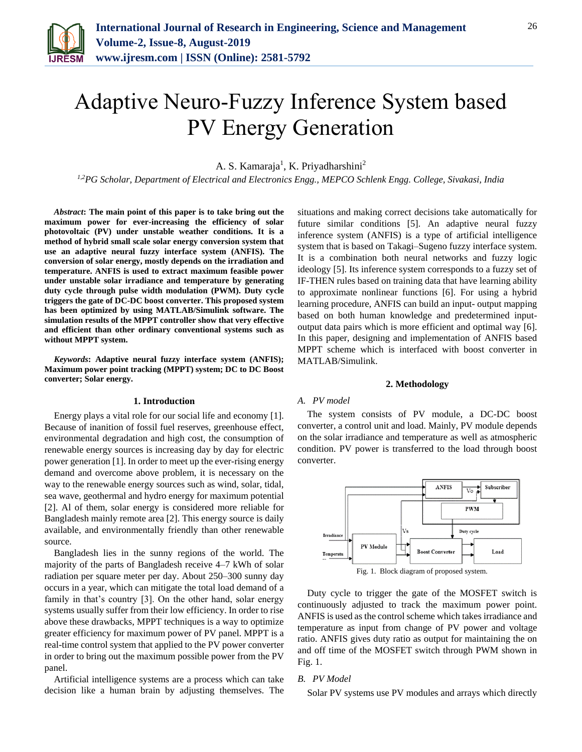

# Adaptive Neuro-Fuzzy Inference System based PV Energy Generation

A. S. Kamaraja<sup>1</sup>, K. Priyadharshini<sup>2</sup>

*1,2PG Scholar, Department of Electrical and Electronics Engg., MEPCO Schlenk Engg. College, Sivakasi, India*

*Abstract***: The main point of this paper is to take bring out the maximum power for ever-increasing the efficiency of solar photovoltaic (PV) under unstable weather conditions. It is a method of hybrid small scale solar energy conversion system that use an adaptive neural fuzzy interface system (ANFIS). The conversion of solar energy, mostly depends on the irradiation and temperature. ANFIS is used to extract maximum feasible power under unstable solar irradiance and temperature by generating duty cycle through pulse width modulation (PWM). Duty cycle triggers the gate of DC-DC boost converter. This proposed system has been optimized by using MATLAB/Simulink software. The simulation results of the MPPT controller show that very effective and efficient than other ordinary conventional systems such as without MPPT system.**

*Keywords***: Adaptive neural fuzzy interface system (ANFIS); Maximum power point tracking (MPPT) system; DC to DC Boost converter; Solar energy.**

## **1. Introduction**

Energy plays a vital role for our social life and economy [1]. Because of inanition of fossil fuel reserves, greenhouse effect, environmental degradation and high cost, the consumption of renewable energy sources is increasing day by day for electric power generation [1]. In order to meet up the ever-rising energy demand and overcome above problem, it is necessary on the way to the renewable energy sources such as wind, solar, tidal, sea wave, geothermal and hydro energy for maximum potential [2]. Al of them, solar energy is considered more reliable for Bangladesh mainly remote area [2]. This energy source is daily available, and environmentally friendly than other renewable source.

Bangladesh lies in the sunny regions of the world. The majority of the parts of Bangladesh receive 4–7 kWh of solar radiation per square meter per day. About 250–300 sunny day occurs in a year, which can mitigate the total load demand of a family in that's country [3]. On the other hand, solar energy systems usually suffer from their low efficiency. In order to rise above these drawbacks, MPPT techniques is a way to optimize greater efficiency for maximum power of PV panel. MPPT is a real-time control system that applied to the PV power converter in order to bring out the maximum possible power from the PV panel.

Artificial intelligence systems are a process which can take decision like a human brain by adjusting themselves. The situations and making correct decisions take automatically for future similar conditions [5]. An adaptive neural fuzzy inference system (ANFIS) is a type of artificial intelligence system that is based on Takagi–Sugeno fuzzy interface system. It is a combination both neural networks and fuzzy logic ideology [5]. Its inference system corresponds to a fuzzy set of IF-THEN rules based on training data that have learning ability to approximate nonlinear functions [6]. For using a hybrid learning procedure, ANFIS can build an input- output mapping based on both human knowledge and predetermined inputoutput data pairs which is more efficient and optimal way [6]. In this paper, designing and implementation of ANFIS based MPPT scheme which is interfaced with boost converter in MATLAB/Simulink.

#### **2. Methodology**

## *A. PV model*

The system consists of PV module, a DC-DC boost converter, a control unit and load. Mainly, PV module depends on the solar irradiance and temperature as well as atmospheric condition. PV power is transferred to the load through boost converter.



Fig. 1. Block diagram of proposed system.

Duty cycle to trigger the gate of the MOSFET switch is continuously adjusted to track the maximum power point. ANFIS is used as the control scheme which takes irradiance and temperature as input from change of PV power and voltage ratio. ANFIS gives duty ratio as output for maintaining the on and off time of the MOSFET switch through PWM shown in Fig. 1.

## *B. PV Model*

Solar PV systems use PV modules and arrays which directly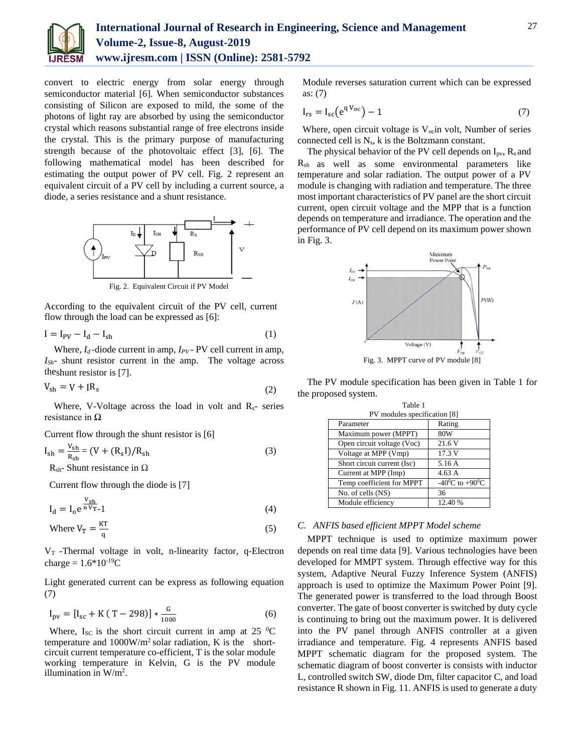

convert to electric energy from solar energy through semiconductor material [6]. When semiconductor substances consisting of Silicon are exposed to mild, the some of the photons of light ray are absorbed by using the semiconductor crystal which reasons substantial range of free electrons inside the crystal. This is the primary purpose of manufacturing strength because of the photovoltaic effect [3], [6]. The following mathematical model has been described for estimating the output power of PV cell. Fig. 2 represent an equivalent circuit of a PV cell by including a current source, a diode, a series resistance and a shunt resistance.



According to the equivalent circuit of the PV cell, current flow through the load can be expressed as [6]:

$$
I = I_{PV} - I_d - I_{sh} \tag{1}
$$

Where,  $I_d$ -diode current in amp,  $I_{PV}$ - PV cell current in amp, *ISh*- shunt resistor current in the amp. The voltage across theshunt resistor is [7].

$$
V_{\rm sh} = V + IR_{\rm s} \tag{2}
$$

Where, V-Voltage across the load in volt and  $R_s$ - series resistance in  $\Omega$ 

Current flow through the shunt resistor is [6]

$$
I_{sh} = \frac{V_{sh}}{R_{sh}} = (V + (R_s I)/R_{sh})
$$
  
(3)  

$$
R_{sh}
$$
 Shunt resistance in  $\Omega$ 

Current flow through the diode is [7]

$$
I_d = I_o e^{\frac{V_{sh}}{n V_{T-1}}} \tag{4}
$$

Where 
$$
V_T = \frac{KT}{q}
$$
 (5)

 $V_T$ -Thermal voltage in volt, n-linearity factor, q-Electron charge =  $1.6*10^{-19}C$ 

Light generated current can be express as following equation (7)

$$
I_{\text{pv}} = [I_{\text{sc}} + K(T - 298)] * \frac{G}{1000}
$$
 (6)

Where,  $I_{SC}$  is the short circuit current in amp at 25  $^{\circ}$ C temperature and 1000W/m2 solar radiation, K is the shortcircuit current temperature co-efficient, T is the solar module working temperature in Kelvin, G is the PV module illumination in W/m<sup>2</sup>.

Module reverses saturation current which can be expressed as: (7)

$$
I_{rs} = I_{sc}(e^{qV_{oc}}) - 1 \tag{7}
$$

Where, open circuit voltage is  $V<sub>oc</sub>$ in volt, Number of series connected cell is Ns, k is the Boltzmann constant.

The physical behavior of the PV cell depends on  $I_{pv}$ ,  $R_s$  and Rsh as well as some environmental parameters like temperature and solar radiation. The output power of a PV module is changing with radiation and temperature. The three most important characteristics of PV panel are the short circuit current, open circuit voltage and the MPP that is a function depends on temperature and irradiance. The operation and the performance of PV cell depend on its maximum power shown in Fig. 3.



The PV module specification has been given in Table 1 for the proposed system.

Table 1

| PV modules specification [8] |                                      |  |  |
|------------------------------|--------------------------------------|--|--|
| Parameter                    | Rating                               |  |  |
| Maximum power (MPPT)         | 80W                                  |  |  |
| Open circuit voltage (Voc)   | 21.6 V                               |  |  |
| Voltage at MPP (Vmp)         | 17.3 V                               |  |  |
| Short circuit current (Isc)  | 5.16A                                |  |  |
| Current at MPP (Imp)         | 4.63A                                |  |  |
| Temp coefficient for MPPT    | -40 $^{\circ}$ C to +90 $^{\circ}$ C |  |  |
| No. of cells (NS)            | 36                                   |  |  |
| Module efficiency            | 12.40 %                              |  |  |

## *C. ANFIS based efficient MPPT Model scheme*

MPPT technique is used to optimize maximum power depends on real time data [9]. Various technologies have been developed for MMPT system. Through effective way for this system, Adaptive Neural Fuzzy Inference System (ANFIS) approach is used to optimize the Maximum Power Point [9]. The generated power is transferred to the load through Boost converter. The gate of boost converter is switched by duty cycle is continuing to bring out the maximum power. It is delivered into the PV panel through ANFIS controller at a given irradiance and temperature. Fig. 4 represents ANFIS based MPPT schematic diagram for the proposed system. The schematic diagram of boost converter is consists with inductor L, controlled switch SW, diode Dm, filter capacitor C, and load resistance R shown in Fig. 11. ANFIS is used to generate a duty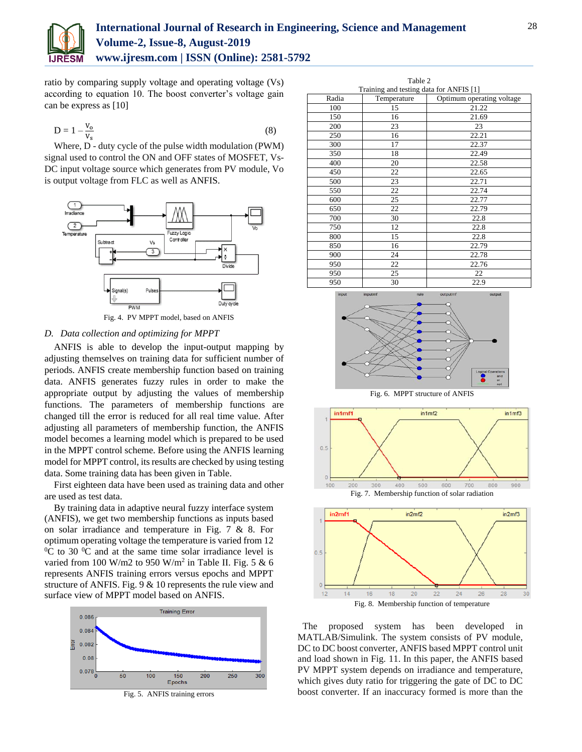

## **International Journal of Research in Engineering, Science and Management Volume-2, Issue-8, August-2019 www.ijresm.com | ISSN (Online): 2581-5792**

ratio by comparing supply voltage and operating voltage (Vs) according to equation 10. The boost converter's voltage gain can be express as [10]

$$
D = 1 - \frac{V_o}{V_s} \tag{8}
$$

Where, D - duty cycle of the pulse width modulation (PWM) signal used to control the ON and OFF states of MOSFET, Vs-DC input voltage source which generates from PV module, Vo is output voltage from FLC as well as ANFIS.



## *D. Data collection and optimizing for MPPT*

ANFIS is able to develop the input-output mapping by adjusting themselves on training data for sufficient number of periods. ANFIS create membership function based on training data. ANFIS generates fuzzy rules in order to make the appropriate output by adjusting the values of membership functions. The parameters of membership functions are changed till the error is reduced for all real time value. After adjusting all parameters of membership function, the ANFIS model becomes a learning model which is prepared to be used in the MPPT control scheme. Before using the ANFIS learning model for MPPT control, its results are checked by using testing data. Some training data has been given in Table.

First eighteen data have been used as training data and other are used as test data.

By training data in adaptive neural fuzzy interface system (ANFIS), we get two membership functions as inputs based on solar irradiance and temperature in Fig. 7 & 8. For optimum operating voltage the temperature is varied from 12  $\rm{^{0}C}$  to 30  $\rm{^{0}C}$  and at the same time solar irradiance level is varied from 100 W/m2 to 950 W/m<sup>2</sup> in Table II. Fig. 5 & 6 represents ANFIS training errors versus epochs and MPPT structure of ANFIS. Fig. 9 & 10 represents the rule view and surface view of MPPT model based on ANFIS.



Fig. 5. ANFIS training errors

| Table 2                                 |             |                           |  |  |
|-----------------------------------------|-------------|---------------------------|--|--|
| Training and testing data for ANFIS [1] |             |                           |  |  |
| Radia                                   | Temperature | Optimum operating voltage |  |  |
| 100                                     | 15          | 21.22                     |  |  |
| 150                                     | 16          | 21.69                     |  |  |
| 200                                     | 23          | 23                        |  |  |
| 250                                     | 16          | 22.21                     |  |  |
| 300                                     | 17          | 22.37                     |  |  |
| 350                                     | 18          | 22.49                     |  |  |
| 400                                     | 20          | 22.58                     |  |  |
| 450                                     | 22          | 22.65                     |  |  |
| 500                                     | 23          | 22.71                     |  |  |
| 550                                     | 22          | 22.74                     |  |  |
| 600                                     | 25          | 22.77                     |  |  |
| 650                                     | 22          | 22.79                     |  |  |
| 700                                     | 30          | 22.8                      |  |  |
| 750                                     | 12          | 22.8                      |  |  |
| 800                                     | 15          | 22.8                      |  |  |
| 850                                     | 16          | 22.79                     |  |  |
| 900                                     | 24          | 22.78                     |  |  |
| 950                                     | 22          | 22.76                     |  |  |
| 950                                     | 25          | 22                        |  |  |
| 950                                     | 30          | 22.9                      |  |  |









The proposed system has been developed in MATLAB/Simulink. The system consists of PV module, DC to DC boost converter, ANFIS based MPPT control unit and load shown in Fig. 11. In this paper, the ANFIS based PV MPPT system depends on irradiance and temperature, which gives duty ratio for triggering the gate of DC to DC boost converter. If an inaccuracy formed is more than the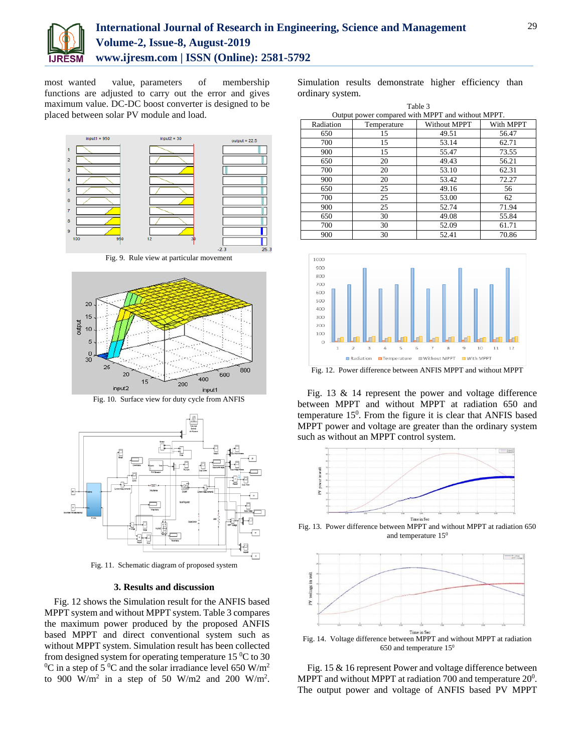

# **International Journal of Research in Engineering, Science and Management Volume-2, Issue-8, August-2019 www.ijresm.com | ISSN (Online): 2581-5792**

most wanted value, parameters of membership functions are adjusted to carry out the error and gives maximum value. DC-DC boost converter is designed to be placed between solar PV module and load.



Fig. 9. Rule view at particular movement



Fig. 10. Surface view for duty cycle from ANFIS



Fig. 11. Schematic diagram of proposed system

## **3. Results and discussion**

Fig. 12 shows the Simulation result for the ANFIS based MPPT system and without MPPT system. Table 3 compares the maximum power produced by the proposed ANFIS based MPPT and direct conventional system such as without MPPT system. Simulation result has been collected from designed system for operating temperature  $15\,^0\text{C}$  to 30  ${}^{0}C$  in a step of 5  ${}^{0}C$  and the solar irradiance level 650 W/m<sup>2</sup> to 900 W/m<sup>2</sup> in a step of 50 W/m2 and 200 W/m<sup>2</sup>. Simulation results demonstrate higher efficiency than ordinary system.

| Table 3                                           |             |                     |           |  |
|---------------------------------------------------|-------------|---------------------|-----------|--|
| Output power compared with MPPT and without MPPT. |             |                     |           |  |
| Radiation                                         | Temperature | <b>Without MPPT</b> | With MPPT |  |
| 650                                               | 15          | 49.51               | 56.47     |  |
| 700                                               | 15          | 53.14               | 62.71     |  |
| 900                                               | 15          | 55.47               | 73.55     |  |
| 650                                               | 20          | 49.43               | 56.21     |  |
| 700                                               | 20          | 53.10               | 62.31     |  |
| 900                                               | 20          | 53.42               | 72.27     |  |
| 650                                               | 25          | 49.16               | 56        |  |
| 700                                               | 25          | 53.00               | 62        |  |
| 900                                               | 25          | 52.74               | 71.94     |  |
| 650                                               | 30          | 49.08               | 55.84     |  |
| 700                                               | 30          | 52.09               | 61.71     |  |
| 900                                               | 30          | 52.41               | 70.86     |  |



Fig. 13 & 14 represent the power and voltage difference between MPPT and without MPPT at radiation 650 and temperature 15<sup>0</sup>. From the figure it is clear that ANFIS based MPPT power and voltage are greater than the ordinary system such as without an MPPT control system.



and temperature  $15^0$ 



Fig. 14. Voltage difference between MPPT and without MPPT at radiation 650 and temperature  $15<sup>0</sup>$ 

Fig. 15 & 16 represent Power and voltage difference between MPPT and without MPPT at radiation 700 and temperature  $20^0$ . The output power and voltage of ANFIS based PV MPPT